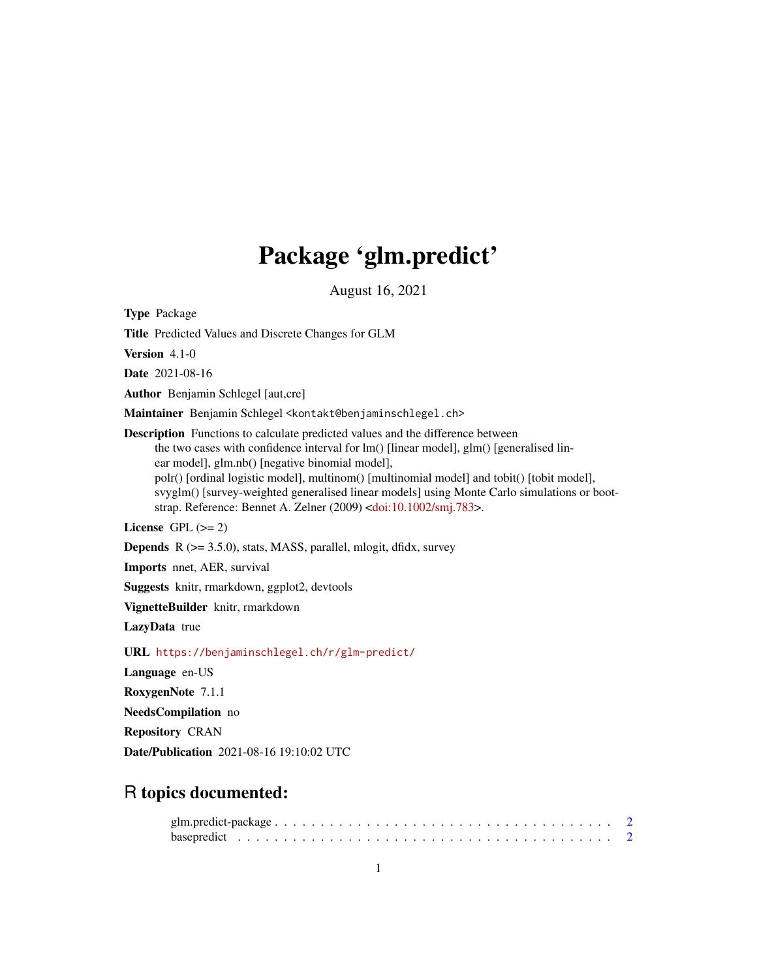# Package 'glm.predict'

August 16, 2021

Type Package

Title Predicted Values and Discrete Changes for GLM

Version 4.1-0

Date 2021-08-16

Author Benjamin Schlegel [aut,cre]

Maintainer Benjamin Schlegel <kontakt@benjaminschlegel.ch>

Description Functions to calculate predicted values and the difference between the two cases with confidence interval for lm() [linear model], glm() [generalised linear model], glm.nb() [negative binomial model], polr() [ordinal logistic model], multinom() [multinomial model] and tobit() [tobit model], svyglm() [survey-weighted generalised linear models] using Monte Carlo simulations or bootstrap. Reference: Bennet A. Zelner (2009) [<doi:10.1002/smj.783>](https://doi.org/10.1002/smj.783).

License GPL  $(>= 2)$ 

Depends R (>= 3.5.0), stats, MASS, parallel, mlogit, dfidx, survey

Imports nnet, AER, survival

Suggests knitr, rmarkdown, ggplot2, devtools

VignetteBuilder knitr, rmarkdown

LazyData true

URL <https://benjaminschlegel.ch/r/glm-predict/>

Language en-US

RoxygenNote 7.1.1

NeedsCompilation no

Repository CRAN

Date/Publication 2021-08-16 19:10:02 UTC

# R topics documented: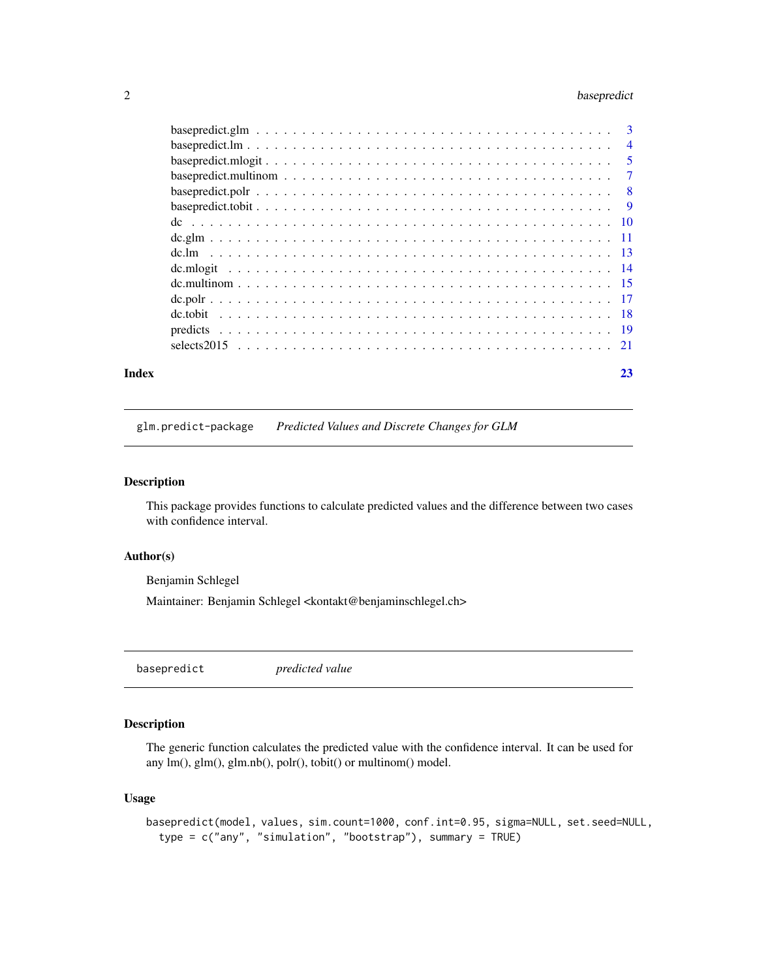# <span id="page-1-0"></span>2 basepredict

| Index | 23 |
|-------|----|
|       |    |
|       |    |
|       |    |
|       |    |
|       |    |
|       |    |
|       |    |
|       |    |
|       |    |
|       |    |
|       |    |
|       |    |
|       |    |
|       |    |
|       |    |

glm.predict-package *Predicted Values and Discrete Changes for GLM*

#### Description

This package provides functions to calculate predicted values and the difference between two cases with confidence interval.

# Author(s)

Benjamin Schlegel

Maintainer: Benjamin Schlegel <kontakt@benjaminschlegel.ch>

basepredict *predicted value*

# Description

The generic function calculates the predicted value with the confidence interval. It can be used for any lm(), glm(), glm.nb(), polr(), tobit() or multinom() model.

```
basepredict(model, values, sim.count=1000, conf.int=0.95, sigma=NULL, set.seed=NULL,
  type = c("any", "simulation", "bootstrap"), summary = TRUE)
```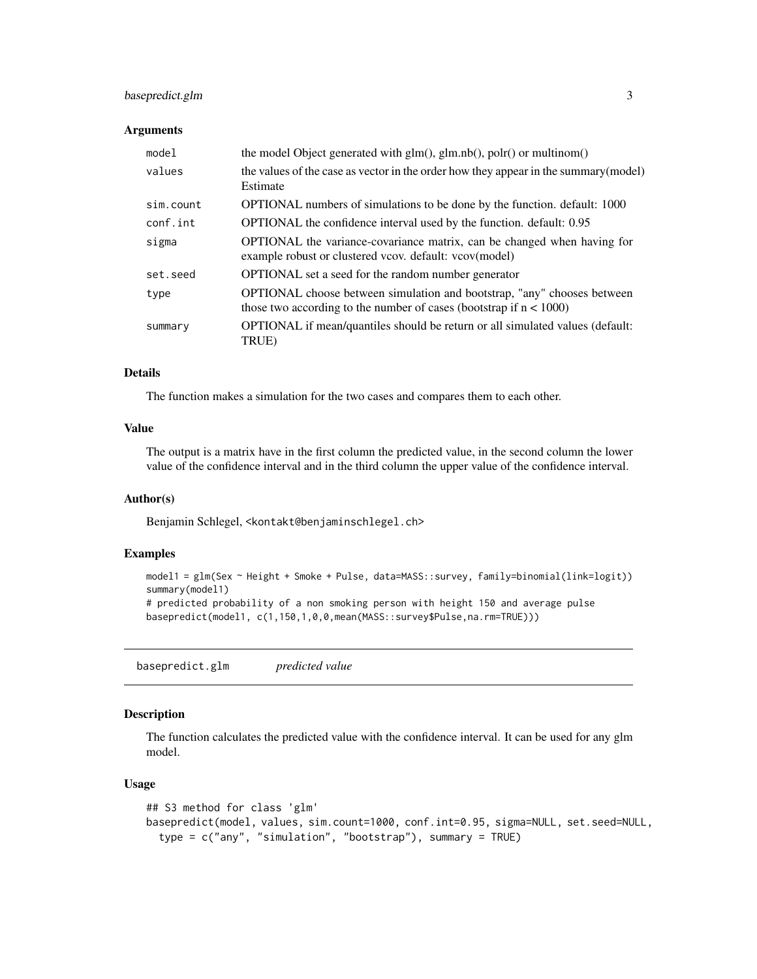# <span id="page-2-0"></span>basepredict.glm 3

#### **Arguments**

| model     | the model Object generated with $g\text{Im}(h)$ , $g\text{Im}.\text{nb}(h)$ , $p\text{ol}(h)$ or multinom()                                             |
|-----------|---------------------------------------------------------------------------------------------------------------------------------------------------------|
| values    | the values of the case as vector in the order how they appear in the summary (model)<br>Estimate                                                        |
| sim.count | OPTIONAL numbers of simulations to be done by the function. default: 1000                                                                               |
| conf.int  | OPTIONAL the confidence interval used by the function. default: 0.95                                                                                    |
| sigma     | <b>OPTIONAL</b> the variance-covariance matrix, can be changed when having for<br>example robust or clustered vcov. default: vcov(model)                |
| set.seed  | <b>OPTIONAL</b> set a seed for the random number generator                                                                                              |
| type      | <b>OPTIONAL</b> choose between simulation and bootstrap, "any" chooses between<br>those two according to the number of cases (bootstrap if $n < 1000$ ) |
| summary   | OPTIONAL if mean/quantiles should be return or all simulated values (default:<br>TRUE)                                                                  |

# Details

The function makes a simulation for the two cases and compares them to each other.

# Value

The output is a matrix have in the first column the predicted value, in the second column the lower value of the confidence interval and in the third column the upper value of the confidence interval.

#### Author(s)

Benjamin Schlegel, <kontakt@benjaminschlegel.ch>

# Examples

```
model1 = glm(Sex ~ Height + Smoke + Pulse, data=MASS::survey, family=binomial(link=logit))
summary(model1)
# predicted probability of a non smoking person with height 150 and average pulse
basepredict(model1, c(1,150,1,0,0,mean(MASS::survey$Pulse,na.rm=TRUE)))
```
basepredict.glm *predicted value*

# Description

The function calculates the predicted value with the confidence interval. It can be used for any glm model.

```
## S3 method for class 'glm'
basepredict(model, values, sim.count=1000, conf.int=0.95, sigma=NULL, set.seed=NULL,
  type = c("any", "simulation", "bootstrap"), summary = TRUE)
```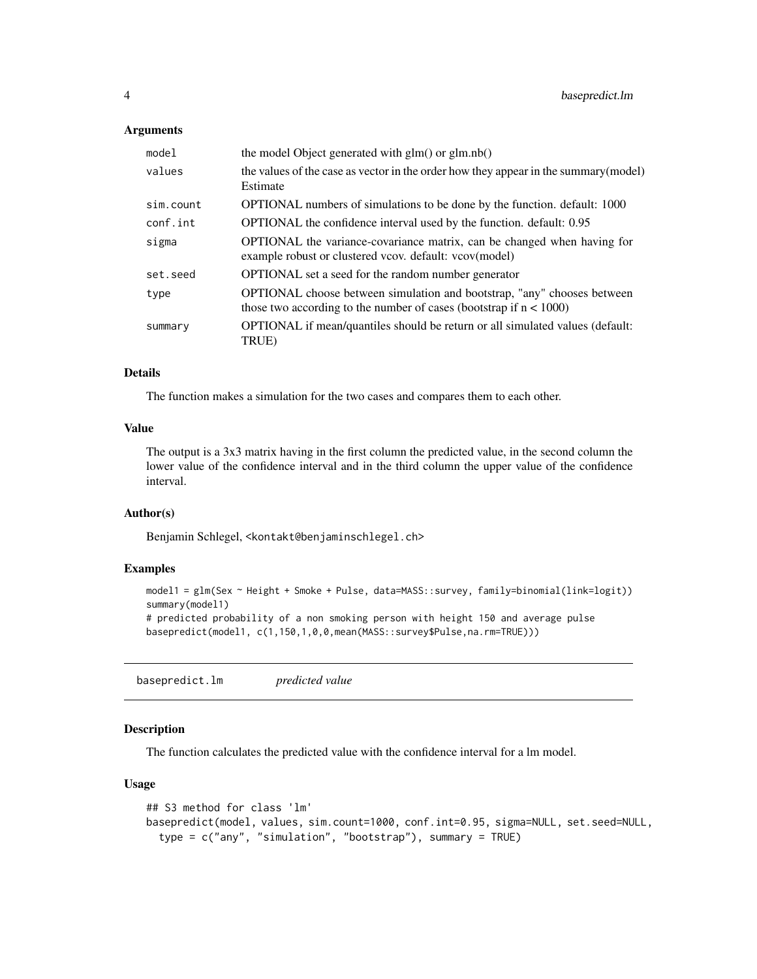#### <span id="page-3-0"></span>**Arguments**

| model     | the model Object generated with $g(m)$ or $g(m.nb)$                                                                                                     |
|-----------|---------------------------------------------------------------------------------------------------------------------------------------------------------|
| values    | the values of the case as vector in the order how they appear in the summary (model)<br>Estimate                                                        |
| sim.count | OPTIONAL numbers of simulations to be done by the function. default: 1000                                                                               |
| conf.int  | OPTIONAL the confidence interval used by the function. default: 0.95                                                                                    |
| sigma     | OPTIONAL the variance-covariance matrix, can be changed when having for<br>example robust or clustered vcov. default: vcov(model)                       |
| set.seed  | <b>OPTIONAL</b> set a seed for the random number generator                                                                                              |
| type      | <b>OPTIONAL</b> choose between simulation and bootstrap, "any" chooses between<br>those two according to the number of cases (bootstrap if $n < 1000$ ) |
| summary   | OPTIONAL if mean/quantiles should be return or all simulated values (default:<br>TRUE)                                                                  |

# Details

The function makes a simulation for the two cases and compares them to each other.

# Value

The output is a 3x3 matrix having in the first column the predicted value, in the second column the lower value of the confidence interval and in the third column the upper value of the confidence interval.

#### Author(s)

Benjamin Schlegel, <kontakt@benjaminschlegel.ch>

#### Examples

```
model1 = glm(Sex ~ Height + Smoke + Pulse, data=MASS::survey, family=binomial(link=logit))
summary(model1)
# predicted probability of a non smoking person with height 150 and average pulse
basepredict(model1, c(1,150,1,0,0,mean(MASS::survey$Pulse,na.rm=TRUE)))
```
basepredict.lm *predicted value*

#### Description

The function calculates the predicted value with the confidence interval for a lm model.

```
## S3 method for class 'lm'
basepredict(model, values, sim.count=1000, conf.int=0.95, sigma=NULL, set.seed=NULL,
  type = c("any", "simulation", "bootstrap"), summary = TRUE)
```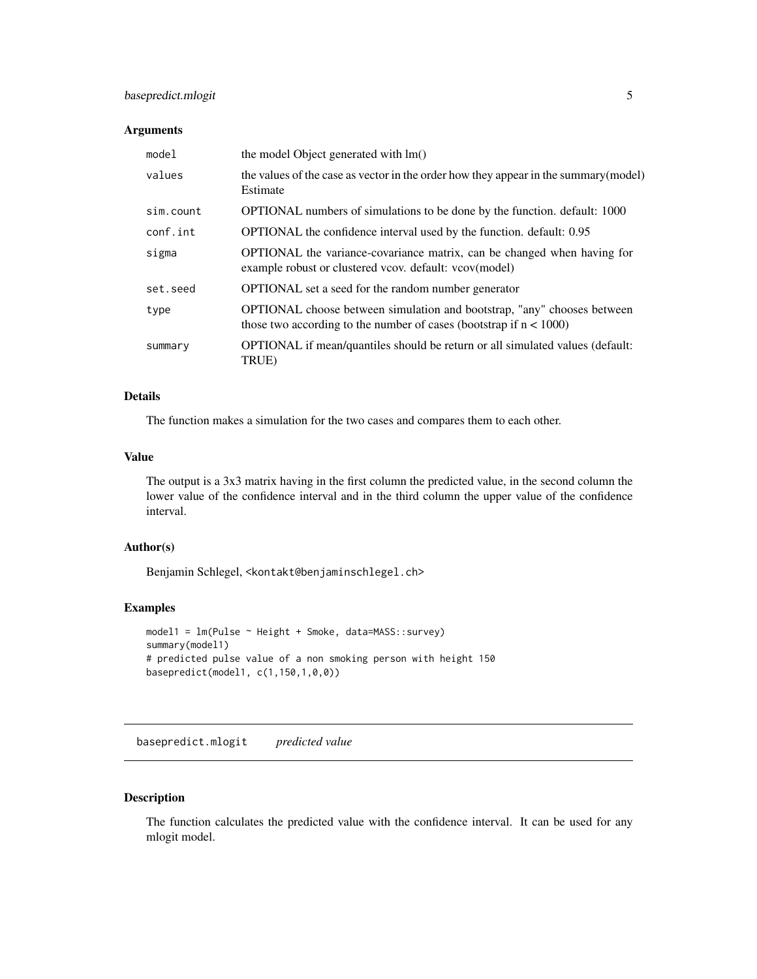# <span id="page-4-0"></span>basepredict.mlogit 5

#### Arguments

| model     | the model Object generated with lm()                                                                                                             |
|-----------|--------------------------------------------------------------------------------------------------------------------------------------------------|
| values    | the values of the case as vector in the order how they appear in the summary (model)<br>Estimate                                                 |
| sim.count | OPTIONAL numbers of simulations to be done by the function. default: 1000                                                                        |
| conf.int  | OPTIONAL the confidence interval used by the function. default: 0.95                                                                             |
| sigma     | <b>OPTIONAL</b> the variance-covariance matrix, can be changed when having for<br>example robust or clustered vcov. default: vcov(model)         |
| set.seed  | <b>OPTIONAL</b> set a seed for the random number generator                                                                                       |
| type      | OPTIONAL choose between simulation and bootstrap, "any" chooses between<br>those two according to the number of cases (bootstrap if $n < 1000$ ) |
| summary   | OPTIONAL if mean/quantiles should be return or all simulated values (default:<br>TRUE)                                                           |

# Details

The function makes a simulation for the two cases and compares them to each other.

#### Value

The output is a 3x3 matrix having in the first column the predicted value, in the second column the lower value of the confidence interval and in the third column the upper value of the confidence interval.

#### Author(s)

Benjamin Schlegel, <kontakt@benjaminschlegel.ch>

# Examples

```
model1 = lm(Pulse ~ Height + Smoke, data=MASS::survey)
summary(model1)
# predicted pulse value of a non smoking person with height 150
basepredict(model1, c(1,150,1,0,0))
```
basepredict.mlogit *predicted value*

# Description

The function calculates the predicted value with the confidence interval. It can be used for any mlogit model.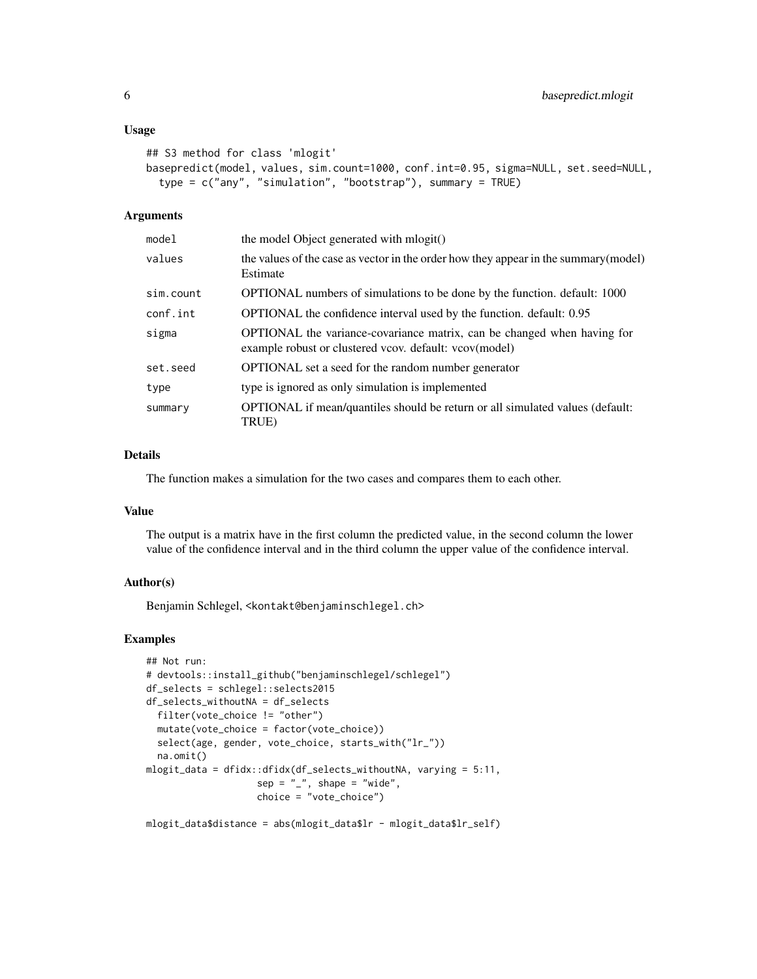#### Usage

```
## S3 method for class 'mlogit'
basepredict(model, values, sim.count=1000, conf.int=0.95, sigma=NULL, set.seed=NULL,
  type = c("any", "simulation", "bootstrap"), summary = TRUE)
```
#### Arguments

| model     | the model Object generated with mlogit()                                                                                          |
|-----------|-----------------------------------------------------------------------------------------------------------------------------------|
| values    | the values of the case as vector in the order how they appear in the summary (model)<br>Estimate                                  |
| sim.count | OPTIONAL numbers of simulations to be done by the function. default: 1000                                                         |
| conf.int  | OPTIONAL the confidence interval used by the function. default: 0.95                                                              |
| sigma     | OPTIONAL the variance-covariance matrix, can be changed when having for<br>example robust or clustered vcov. default: vcov(model) |
| set.seed  | OPTIONAL set a seed for the random number generator                                                                               |
| type      | type is ignored as only simulation is implemented                                                                                 |
| summary   | OPTIONAL if mean/quantiles should be return or all simulated values (default:<br>TRUE)                                            |

# Details

The function makes a simulation for the two cases and compares them to each other.

#### Value

The output is a matrix have in the first column the predicted value, in the second column the lower value of the confidence interval and in the third column the upper value of the confidence interval.

# Author(s)

Benjamin Schlegel, <kontakt@benjaminschlegel.ch>

#### Examples

```
## Not run:
# devtools::install_github("benjaminschlegel/schlegel")
df_selects = schlegel::selects2015
df_selects_withoutNA = df_selects
  filter(vote_choice != "other")
  mutate(vote_choice = factor(vote_choice))
  select(age, gender, vote_choice, starts_with("lr_"))
  na.omit()
mlogit_data = dfidx::dfidx(df_selects_withoutNA, varying = 5:11,
                    sep = "''', shape = "wide",choice = "vote_choice")
mlogit_data$distance = abs(mlogit_data$lr - mlogit_data$lr_self)
```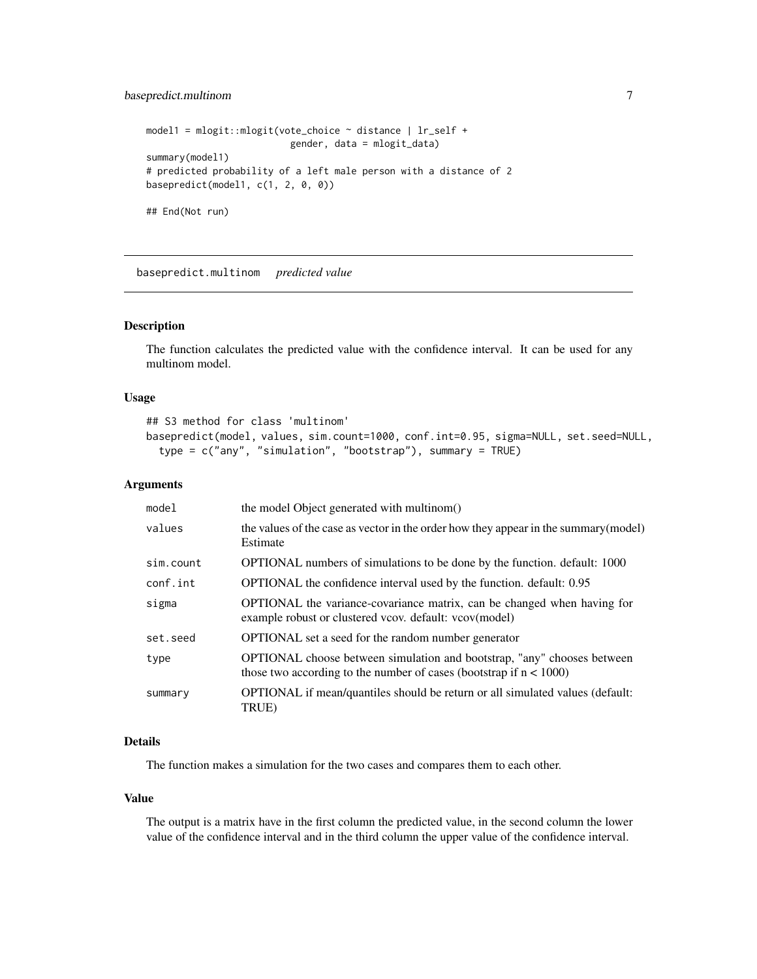# <span id="page-6-0"></span>basepredict.multinom 7

```
model1 = mlogit::mlogit(vote_choice ~ distance | lr_self +
                         gender, data = mlogit_data)
summary(model1)
# predicted probability of a left male person with a distance of 2
basepredict(model1, c(1, 2, 0, 0))
## End(Not run)
```
basepredict.multinom *predicted value*

# Description

The function calculates the predicted value with the confidence interval. It can be used for any multinom model.

#### Usage

```
## S3 method for class 'multinom'
basepredict(model, values, sim.count=1000, conf.int=0.95, sigma=NULL, set.seed=NULL,
  type = c("any", "simulation", "bootstrap"), summary = TRUE)
```
#### Arguments

| model     | the model Object generated with multinom()                                                                                                              |
|-----------|---------------------------------------------------------------------------------------------------------------------------------------------------------|
| values    | the values of the case as vector in the order how they appear in the summary (model)<br>Estimate                                                        |
| sim.count | OPTIONAL numbers of simulations to be done by the function. default: 1000                                                                               |
| conf.int  | OPTIONAL the confidence interval used by the function. default: 0.95                                                                                    |
| sigma     | <b>OPTIONAL</b> the variance-covariance matrix, can be changed when having for<br>example robust or clustered vcov. default: vcov(model)                |
| set.seed  | <b>OPTIONAL</b> set a seed for the random number generator                                                                                              |
| type      | <b>OPTIONAL</b> choose between simulation and bootstrap, "any" chooses between<br>those two according to the number of cases (bootstrap if $n < 1000$ ) |
| summary   | OPTIONAL if mean/quantiles should be return or all simulated values (default:<br>TRUE)                                                                  |

# Details

The function makes a simulation for the two cases and compares them to each other.

#### Value

The output is a matrix have in the first column the predicted value, in the second column the lower value of the confidence interval and in the third column the upper value of the confidence interval.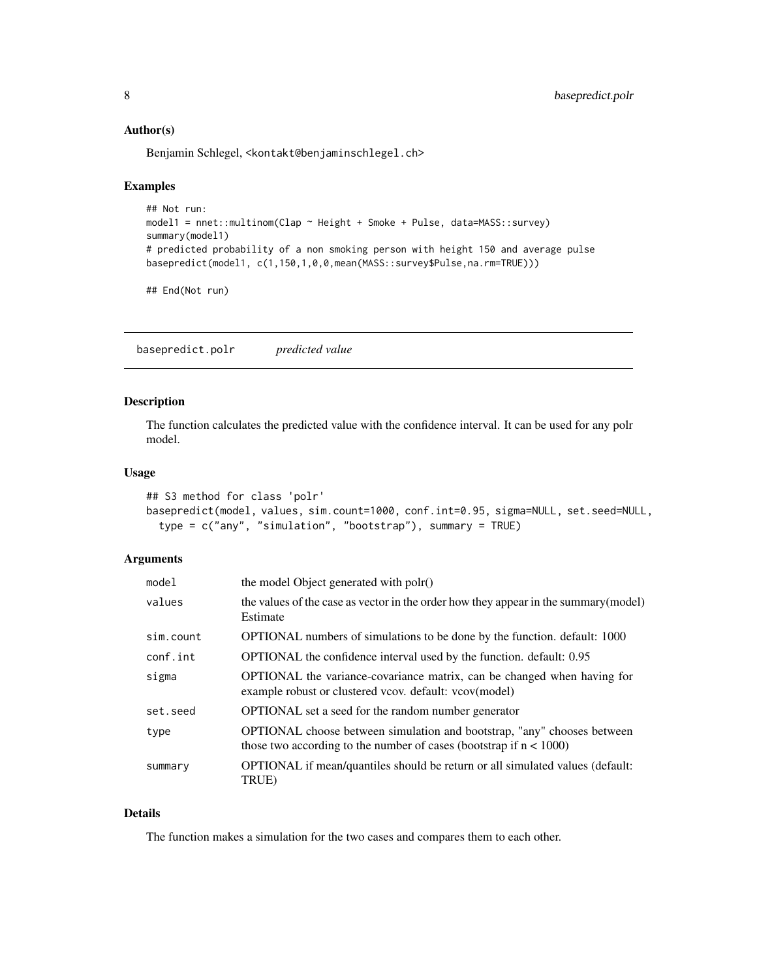#### <span id="page-7-0"></span>Author(s)

Benjamin Schlegel, <kontakt@benjaminschlegel.ch>

#### Examples

```
## Not run:
model1 = nnet::multinom(Clap ~ Height + Smoke + Pulse, data=MASS::survey)
summary(model1)
# predicted probability of a non smoking person with height 150 and average pulse
basepredict(model1, c(1,150,1,0,0,mean(MASS::survey$Pulse,na.rm=TRUE)))
```
## End(Not run)

basepredict.polr *predicted value*

# Description

The function calculates the predicted value with the confidence interval. It can be used for any polr model.

#### Usage

```
## S3 method for class 'polr'
basepredict(model, values, sim.count=1000, conf.int=0.95, sigma=NULL, set.seed=NULL,
  type = c("any", "simulation", "bootstrap"), summary = TRUE)
```
# Arguments

| model     | the model Object generated with polr()                                                                                                           |
|-----------|--------------------------------------------------------------------------------------------------------------------------------------------------|
| values    | the values of the case as vector in the order how they appear in the summary (model)<br>Estimate                                                 |
| sim.count | OPTIONAL numbers of simulations to be done by the function. default: 1000                                                                        |
| conf.int  | OPTIONAL the confidence interval used by the function. default: 0.95                                                                             |
| sigma     | OPTIONAL the variance-covariance matrix, can be changed when having for<br>example robust or clustered vcov. default: vcov(model)                |
| set.seed  | <b>OPTIONAL</b> set a seed for the random number generator                                                                                       |
| type      | OPTIONAL choose between simulation and bootstrap, "any" chooses between<br>those two according to the number of cases (bootstrap if $n < 1000$ ) |
| summary   | OPTIONAL if mean/quantiles should be return or all simulated values (default:<br>TRUE)                                                           |

# Details

The function makes a simulation for the two cases and compares them to each other.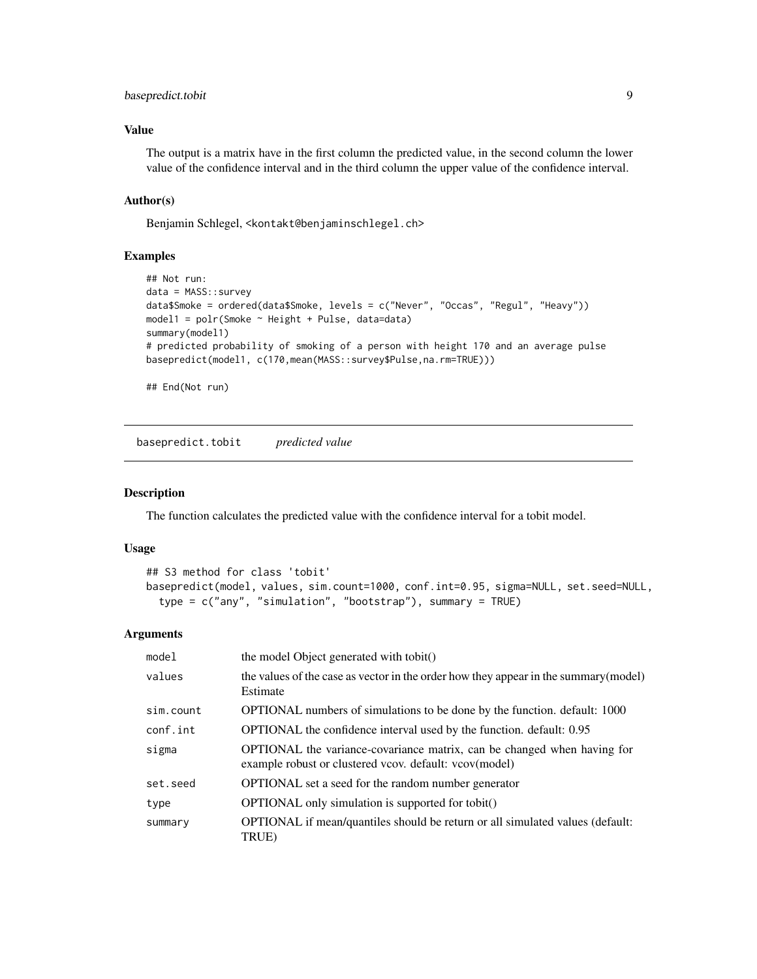# <span id="page-8-0"></span>basepredict.tobit 9

# Value

The output is a matrix have in the first column the predicted value, in the second column the lower value of the confidence interval and in the third column the upper value of the confidence interval.

# Author(s)

Benjamin Schlegel, <kontakt@benjaminschlegel.ch>

#### Examples

```
## Not run:
data = MASS::survey
data$Smoke = ordered(data$Smoke, levels = c("Never", "Occas", "Regul", "Heavy"))
model1 = polr(Smoke ~ Height + Pulse, data=data)
summary(model1)
# predicted probability of smoking of a person with height 170 and an average pulse
basepredict(model1, c(170,mean(MASS::survey$Pulse,na.rm=TRUE)))
```
## End(Not run)

basepredict.tobit *predicted value*

#### Description

The function calculates the predicted value with the confidence interval for a tobit model.

#### Usage

```
## S3 method for class 'tobit'
basepredict(model, values, sim.count=1000, conf.int=0.95, sigma=NULL, set.seed=NULL,
  type = c("any", "simulation", "bootstrap"), summary = TRUE)
```

| model     | the model Object generated with tobit()                                                                                           |
|-----------|-----------------------------------------------------------------------------------------------------------------------------------|
| values    | the values of the case as vector in the order how they appear in the summary (model)<br>Estimate                                  |
| sim.count | OPTIONAL numbers of simulations to be done by the function. default: 1000                                                         |
| conf.int  | OPTIONAL the confidence interval used by the function. default: 0.95                                                              |
| sigma     | OPTIONAL the variance-covariance matrix, can be changed when having for<br>example robust or clustered vcov. default: vcov(model) |
| set.seed  | <b>OPTIONAL</b> set a seed for the random number generator                                                                        |
| type      | OPTIONAL only simulation is supported for tobit()                                                                                 |
| summary   | OPTIONAL if mean/quantiles should be return or all simulated values (default:<br>TRUE)                                            |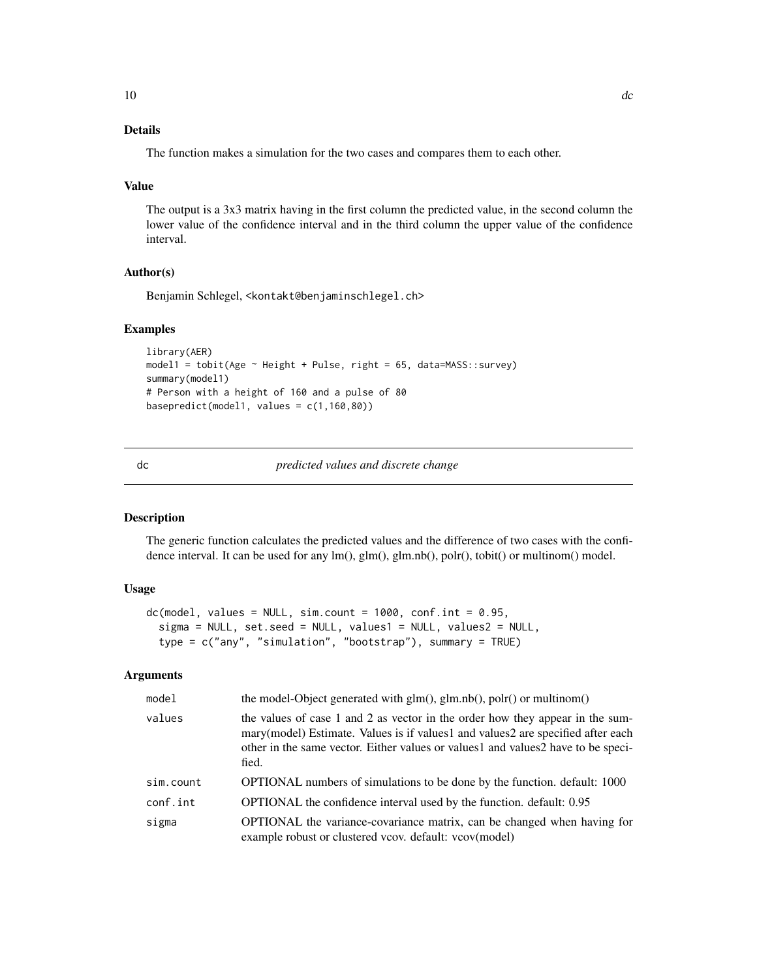# <span id="page-9-0"></span>Details

The function makes a simulation for the two cases and compares them to each other.

#### Value

The output is a 3x3 matrix having in the first column the predicted value, in the second column the lower value of the confidence interval and in the third column the upper value of the confidence interval.

# Author(s)

Benjamin Schlegel, <kontakt@benjaminschlegel.ch>

#### Examples

```
library(AER)
model1 = tobit(Age ~ Height + Pulse, right = 65, data=MASS::survey)
summary(model1)
# Person with a height of 160 and a pulse of 80
basepredict(model1, values = c(1,160,80))
```
dc *predicted values and discrete change*

#### Description

The generic function calculates the predicted values and the difference of two cases with the confidence interval. It can be used for any lm(), glm(), glm.nb(), polr(), tobit() or multinom() model.

# Usage

```
dc(model, values = NULL, sim.count = 1000, conf.int = 0.95,sigma = NULL, set.seed = NULL, values1 = NULL, values2 = NULL,
  type = c("any", "simulation", "bootstrap"), summary = TRUE)
```

| model     | the model-Object generated with $glm()$ , $glm.nb()$ , $polr()$ or multinom $()$                                                                                                                                                                              |
|-----------|---------------------------------------------------------------------------------------------------------------------------------------------------------------------------------------------------------------------------------------------------------------|
| values    | the values of case 1 and 2 as vector in the order how they appear in the sum-<br>mary(model) Estimate. Values is if values1 and values2 are specified after each<br>other in the same vector. Either values or values1 and values2 have to be speci-<br>fied. |
| sim.count | OPTIONAL numbers of simulations to be done by the function. default: 1000                                                                                                                                                                                     |
| conf.int  | OPTIONAL the confidence interval used by the function. default: 0.95                                                                                                                                                                                          |
| sigma     | <b>OPTIONAL</b> the variance-covariance matrix, can be changed when having for<br>example robust or clustered vcov. default: vcov(model)                                                                                                                      |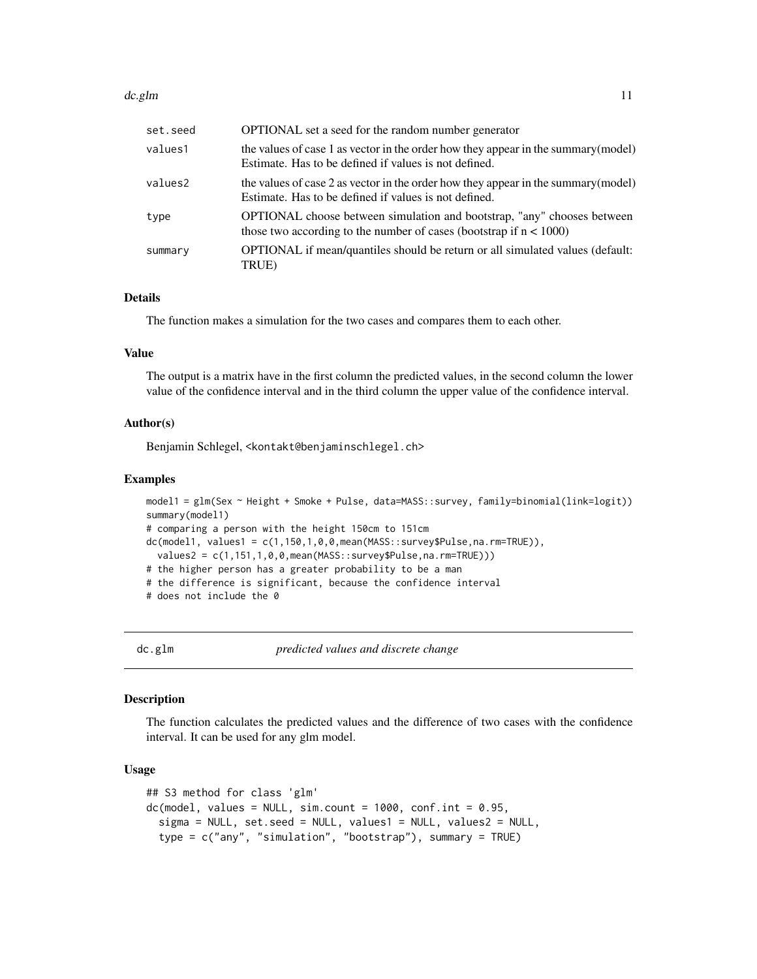#### <span id="page-10-0"></span>dc.glm and 11 and 12 and 20 and 20 and 20 and 20 and 20 and 20 and 20 and 20 and 20 and 20 and 20 and 20 and 20

| set.seed | <b>OPTIONAL</b> set a seed for the random number generator                                                                                              |
|----------|---------------------------------------------------------------------------------------------------------------------------------------------------------|
| values1  | the values of case 1 as vector in the order how they appear in the summary (model)<br>Estimate. Has to be defined if values is not defined.             |
| values2  | the values of case 2 as vector in the order how they appear in the summary (model)<br>Estimate. Has to be defined if values is not defined.             |
| type     | <b>OPTIONAL</b> choose between simulation and bootstrap, "any" chooses between<br>those two according to the number of cases (bootstrap if $n < 1000$ ) |
| summary  | OPTIONAL if mean/quantiles should be return or all simulated values (default:<br>TRUE)                                                                  |

#### Details

The function makes a simulation for the two cases and compares them to each other.

# Value

The output is a matrix have in the first column the predicted values, in the second column the lower value of the confidence interval and in the third column the upper value of the confidence interval.

#### Author(s)

Benjamin Schlegel, <kontakt@benjaminschlegel.ch>

#### Examples

```
model1 = glm(Sex ~ Height + Smoke + Pulse, data=MASS::survey, family=binomial(link=logit))
summary(model1)
# comparing a person with the height 150cm to 151cm
dc(model1, values1 = c(1,150,1,0,0, mean(MASS::survey$Pulse, na.rm=TRUE)),
 values2 = c(1,151,1,0,0,mean(MASS::survey$Pulse,na.rm=TRUE)))
# the higher person has a greater probability to be a man
# the difference is significant, because the confidence interval
# does not include the 0
```
dc.glm *predicted values and discrete change*

#### Description

The function calculates the predicted values and the difference of two cases with the confidence interval. It can be used for any glm model.

```
## S3 method for class 'glm'
dc(model, values = NULL, sim.count = 1000, conf.int = 0.95,sigma = NULL, set.seed = NULL, values1 = NULL, values2 = NULL,
  type = c("any", "simulation", "bootstrap"), summary = TRUE)
```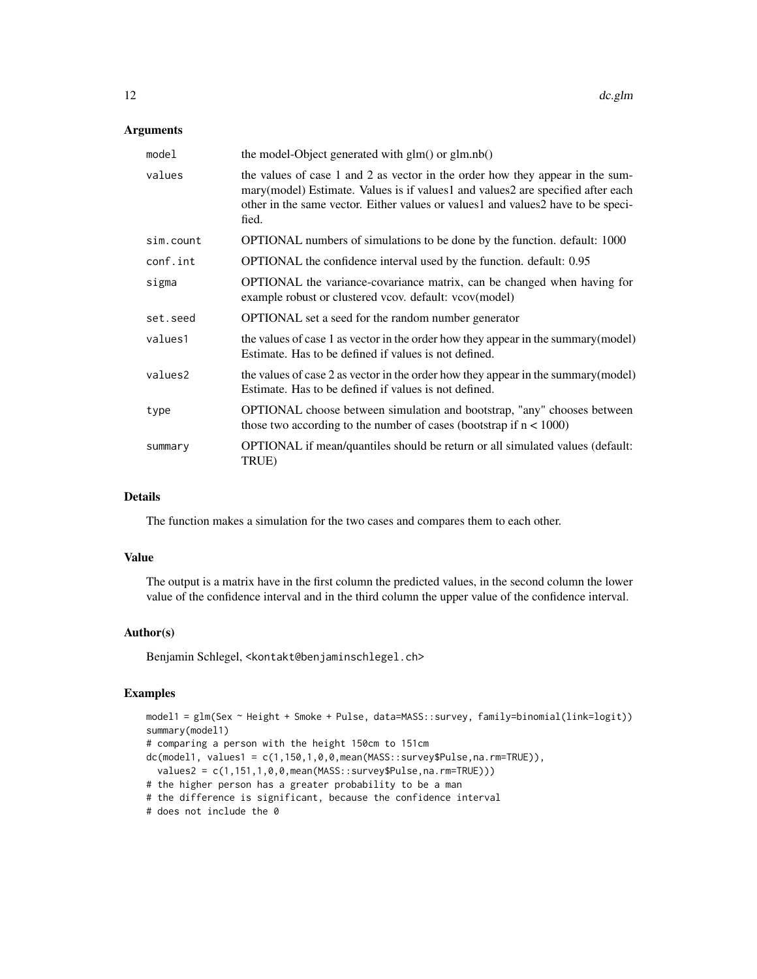#### Arguments

| model     | the model-Object generated with $g(m)$ or $g(m.nb)$                                                                                                                                                                                                           |
|-----------|---------------------------------------------------------------------------------------------------------------------------------------------------------------------------------------------------------------------------------------------------------------|
| values    | the values of case 1 and 2 as vector in the order how they appear in the sum-<br>mary(model) Estimate. Values is if values1 and values2 are specified after each<br>other in the same vector. Either values or values1 and values2 have to be speci-<br>fied. |
| sim.count | OPTIONAL numbers of simulations to be done by the function. default: 1000                                                                                                                                                                                     |
| conf.int  | OPTIONAL the confidence interval used by the function. default: 0.95                                                                                                                                                                                          |
| sigma     | <b>OPTIONAL</b> the variance-covariance matrix, can be changed when having for<br>example robust or clustered vcov. default: vcov(model)                                                                                                                      |
| set.seed  | <b>OPTIONAL</b> set a seed for the random number generator                                                                                                                                                                                                    |
| values1   | the values of case 1 as vector in the order how they appear in the summary (model)<br>Estimate. Has to be defined if values is not defined.                                                                                                                   |
| values2   | the values of case 2 as vector in the order how they appear in the summary (model)<br>Estimate. Has to be defined if values is not defined.                                                                                                                   |
| type      | <b>OPTIONAL</b> choose between simulation and bootstrap, "any" chooses between<br>those two according to the number of cases (bootstrap if $n < 1000$ )                                                                                                       |
| summary   | OPTIONAL if mean/quantiles should be return or all simulated values (default:<br>TRUE)                                                                                                                                                                        |

# Details

The function makes a simulation for the two cases and compares them to each other.

# Value

The output is a matrix have in the first column the predicted values, in the second column the lower value of the confidence interval and in the third column the upper value of the confidence interval.

# Author(s)

Benjamin Schlegel, <kontakt@benjaminschlegel.ch>

# Examples

```
model1 = glm(Sex ~ Height + Smoke + Pulse, data=MASS::survey, family=binomial(link=logit))
summary(model1)
# comparing a person with the height 150cm to 151cm
dc(model1, values1 = c(1,150,1,0,0,mean(MASS::survey$Pulse,na.rm=TRUE)),
  values2 = c(1,151,1,0,0,mean(MASS::survey$Pulse,na.rm=TRUE)))
# the higher person has a greater probability to be a man
# the difference is significant, because the confidence interval
# does not include the 0
```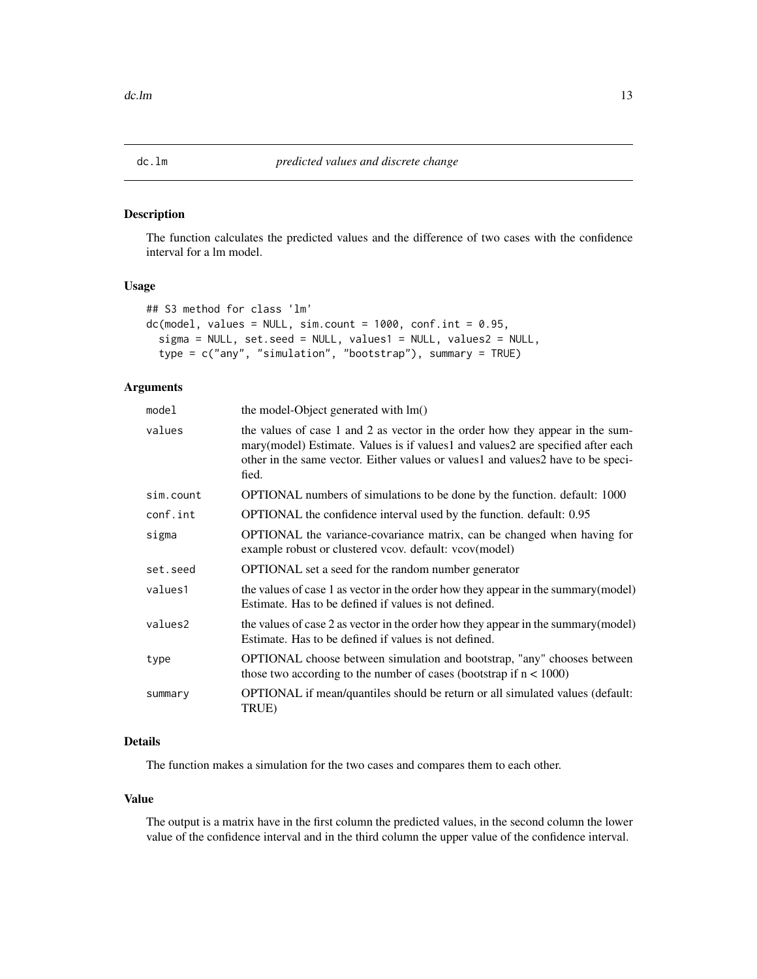<span id="page-12-0"></span>

#### Description

The function calculates the predicted values and the difference of two cases with the confidence interval for a lm model.

# Usage

```
## S3 method for class 'lm'
dc(model, values = NULL, sim.count = 1000, conf.int = 0.95,sigma = NULL, set.seed = NULL, values1 = NULL, values2 = NULL,
  type = c("any", "simulation", "bootstrap"), summary = TRUE)
```
# Arguments

| the model-Object generated with lm()                                                                                                                                                                                                                             |
|------------------------------------------------------------------------------------------------------------------------------------------------------------------------------------------------------------------------------------------------------------------|
| the values of case 1 and 2 as vector in the order how they appear in the sum-<br>mary (model) Estimate. Values is if values 1 and values 2 are specified after each<br>other in the same vector. Either values or values1 and values2 have to be speci-<br>fied. |
| <b>OPTIONAL</b> numbers of simulations to be done by the function. default: 1000                                                                                                                                                                                 |
| OPTIONAL the confidence interval used by the function. default: 0.95                                                                                                                                                                                             |
| OPTIONAL the variance-covariance matrix, can be changed when having for<br>example robust or clustered vcov. default: vcov(model)                                                                                                                                |
| OPTIONAL set a seed for the random number generator                                                                                                                                                                                                              |
| the values of case 1 as vector in the order how they appear in the summary (model)<br>Estimate. Has to be defined if values is not defined.                                                                                                                      |
| the values of case 2 as vector in the order how they appear in the summary (model)<br>Estimate. Has to be defined if values is not defined.                                                                                                                      |
| OPTIONAL choose between simulation and bootstrap, "any" chooses between<br>those two according to the number of cases (bootstrap if $n < 1000$ )                                                                                                                 |
| OPTIONAL if mean/quantiles should be return or all simulated values (default:<br>TRUE)                                                                                                                                                                           |
|                                                                                                                                                                                                                                                                  |

# Details

The function makes a simulation for the two cases and compares them to each other.

#### Value

The output is a matrix have in the first column the predicted values, in the second column the lower value of the confidence interval and in the third column the upper value of the confidence interval.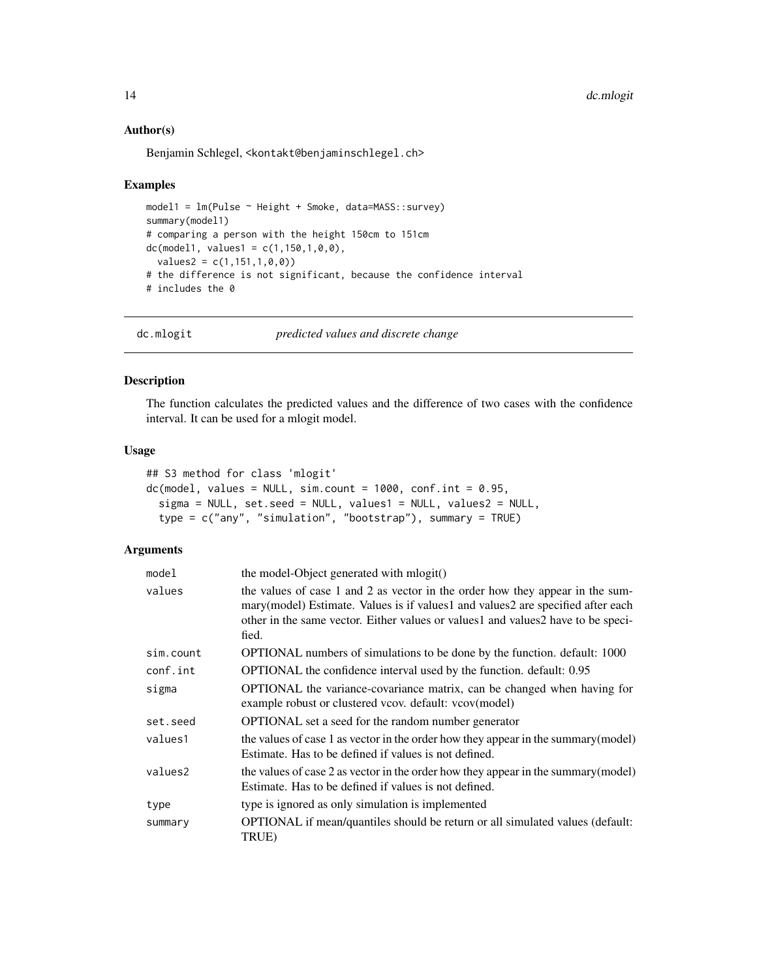#### Author(s)

Benjamin Schlegel, <kontakt@benjaminschlegel.ch>

#### Examples

```
model1 = Im(Pulse ~ Height ~66, data = MASS::survey)summary(model1)
# comparing a person with the height 150cm to 151cm
dc(model1, values1 = c(1, 150, 1, 0, 0),
  values2 = c(1, 151, 1, 0, 0)# the difference is not significant, because the confidence interval
# includes the 0
```
dc.mlogit *predicted values and discrete change*

# Description

The function calculates the predicted values and the difference of two cases with the confidence interval. It can be used for a mlogit model.

#### Usage

```
## S3 method for class 'mlogit'
dc(model, values = NULL, sim.count = 1000, conf.int = 0.95,sigma = NULL, set.seed = NULL, values1 = NULL, values2 = NULL,
  type = c("any", "simulation", "bootstrap"), summary = TRUE)
```

| model     | the model-Object generated with mlogit()                                                                                                                                                                                                                      |
|-----------|---------------------------------------------------------------------------------------------------------------------------------------------------------------------------------------------------------------------------------------------------------------|
| values    | the values of case 1 and 2 as vector in the order how they appear in the sum-<br>mary(model) Estimate. Values is if values1 and values2 are specified after each<br>other in the same vector. Either values or values1 and values2 have to be speci-<br>fied. |
| sim.count | OPTIONAL numbers of simulations to be done by the function. default: 1000                                                                                                                                                                                     |
| conf.int  | OPTIONAL the confidence interval used by the function. default: 0.95                                                                                                                                                                                          |
| sigma     | OPTIONAL the variance-covariance matrix, can be changed when having for<br>example robust or clustered vcov. default: vcov(model)                                                                                                                             |
| set.seed  | <b>OPTIONAL</b> set a seed for the random number generator                                                                                                                                                                                                    |
| values1   | the values of case 1 as vector in the order how they appear in the summary (model)<br>Estimate. Has to be defined if values is not defined.                                                                                                                   |
| values2   | the values of case 2 as vector in the order how they appear in the summary (model)<br>Estimate. Has to be defined if values is not defined.                                                                                                                   |
| type      | type is ignored as only simulation is implemented                                                                                                                                                                                                             |
| summary   | OPTIONAL if mean/quantiles should be return or all simulated values (default:<br>TRUE)                                                                                                                                                                        |

<span id="page-13-0"></span>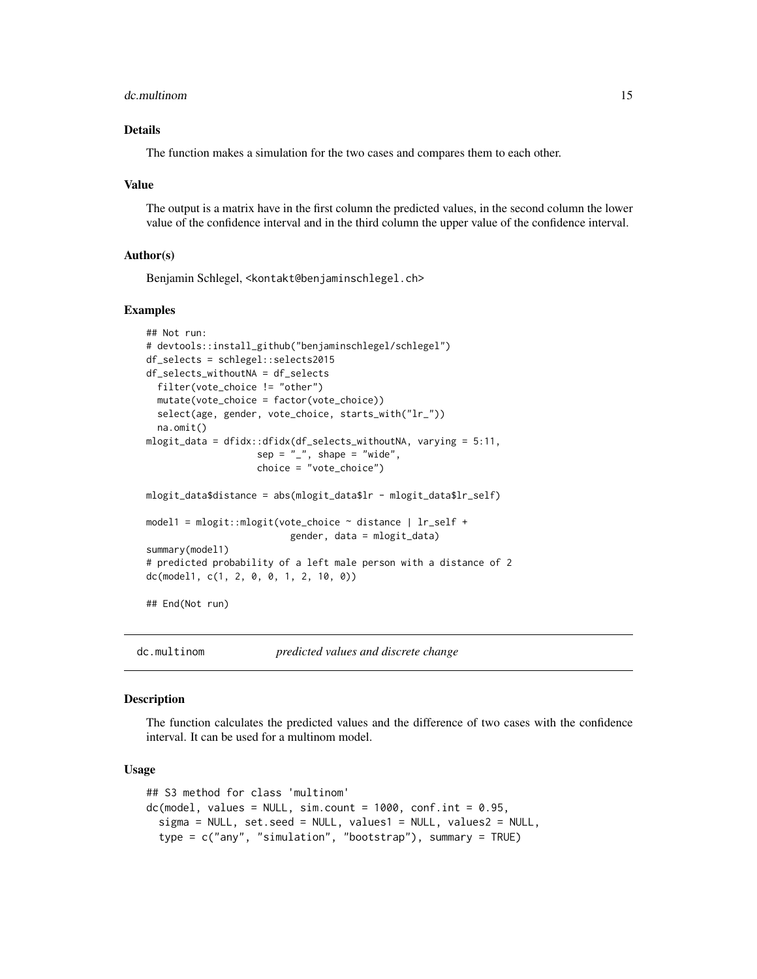#### <span id="page-14-0"></span>dc.multinom 15

# Details

The function makes a simulation for the two cases and compares them to each other.

#### Value

The output is a matrix have in the first column the predicted values, in the second column the lower value of the confidence interval and in the third column the upper value of the confidence interval.

#### Author(s)

Benjamin Schlegel, <kontakt@benjaminschlegel.ch>

#### Examples

```
## Not run:
# devtools::install_github("benjaminschlegel/schlegel")
df_selects = schlegel::selects2015
df_selects_withoutNA = df_selects
 filter(vote_choice != "other")
 mutate(vote_choice = factor(vote_choice))
 select(age, gender, vote_choice, starts_with("lr_"))
 na.omit()
mlogit_data = dfidx::dfidx(df_selects_withoutNA, varying = 5:11,
                    sep = "'', shape = "wide",
                    choice = "vote_choice")
mlogit_data$distance = abs(mlogit_data$lr - mlogit_data$lr_self)
model1 = mlogit::mlogit(vote_choice ~ distance | lr_self +
                          gender, data = mlogit_data)
summary(model1)
# predicted probability of a left male person with a distance of 2
dc(model1, c(1, 2, 0, 0, 1, 2, 10, 0))
## End(Not run)
```
dc.multinom *predicted values and discrete change*

#### Description

The function calculates the predicted values and the difference of two cases with the confidence interval. It can be used for a multinom model.

```
## S3 method for class 'multinom'
dc(model, values = NULL, sim.count = 1000, conf.int = 0.95,sigma = NULL, set.seed = NULL, values1 = NULL, values2 = NULL,
  type = c("any", "simulation", "bootstrap"), summary = TRUE)
```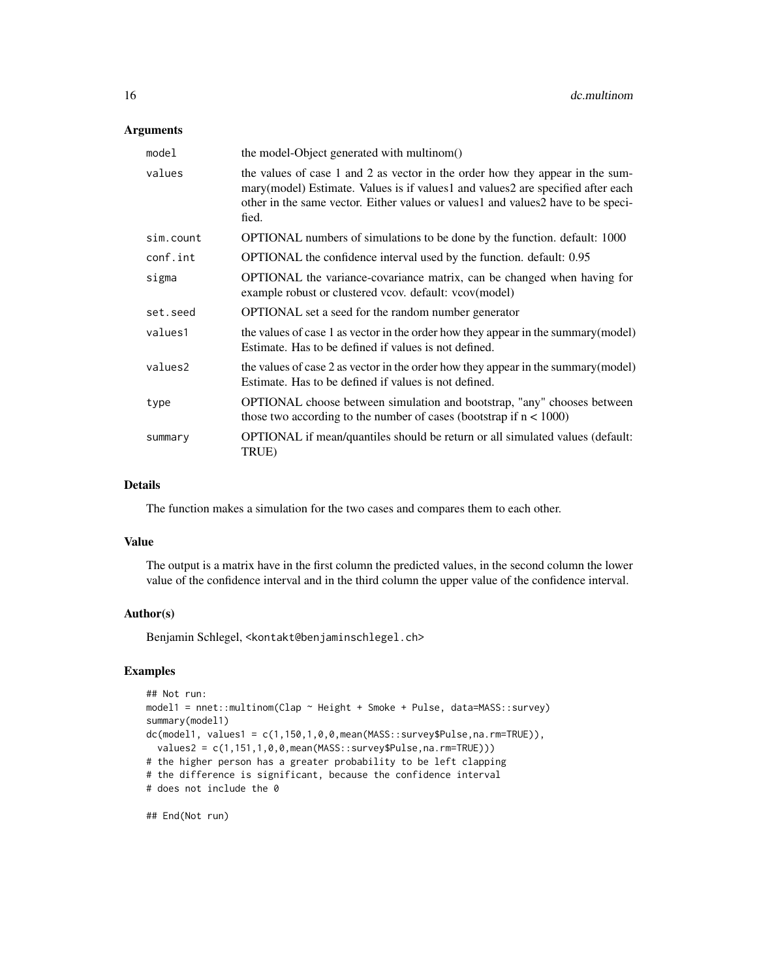# Arguments

| model     | the model-Object generated with multinom()                                                                                                                                                                                                                    |
|-----------|---------------------------------------------------------------------------------------------------------------------------------------------------------------------------------------------------------------------------------------------------------------|
| values    | the values of case 1 and 2 as vector in the order how they appear in the sum-<br>mary(model) Estimate. Values is if values1 and values2 are specified after each<br>other in the same vector. Either values or values and values 2 have to be speci-<br>fied. |
| sim.count | OPTIONAL numbers of simulations to be done by the function. default: 1000                                                                                                                                                                                     |
| conf.int  | OPTIONAL the confidence interval used by the function. default: 0.95                                                                                                                                                                                          |
| sigma     | OPTIONAL the variance-covariance matrix, can be changed when having for<br>example robust or clustered vcov. default: vcov(model)                                                                                                                             |
| set.seed  | OPTIONAL set a seed for the random number generator                                                                                                                                                                                                           |
| values1   | the values of case 1 as vector in the order how they appear in the summary (model)<br>Estimate. Has to be defined if values is not defined.                                                                                                                   |
| values2   | the values of case 2 as vector in the order how they appear in the summary (model)<br>Estimate. Has to be defined if values is not defined.                                                                                                                   |
| type      | <b>OPTIONAL</b> choose between simulation and bootstrap, "any" chooses between<br>those two according to the number of cases (bootstrap if $n < 1000$ )                                                                                                       |
| summary   | OPTIONAL if mean/quantiles should be return or all simulated values (default:<br>TRUE)                                                                                                                                                                        |

#### Details

The function makes a simulation for the two cases and compares them to each other.

#### Value

The output is a matrix have in the first column the predicted values, in the second column the lower value of the confidence interval and in the third column the upper value of the confidence interval.

# Author(s)

Benjamin Schlegel, <kontakt@benjaminschlegel.ch>

#### Examples

```
## Not run:
model1 = nnet::multinom(Clap ~ Height + Smoke + Pulse, data=MASS::survey)
summary(model1)
dc(model1, values1 = c(1,150,1,0,0,mean(MASS::survey$Pulse,na.rm=TRUE)),
  values2 = c(1,151,1,0,0,mean(MASS::survey$Pulse,na.rm=TRUE)))
# the higher person has a greater probability to be left clapping
# the difference is significant, because the confidence interval
# does not include the 0
```

```
## End(Not run)
```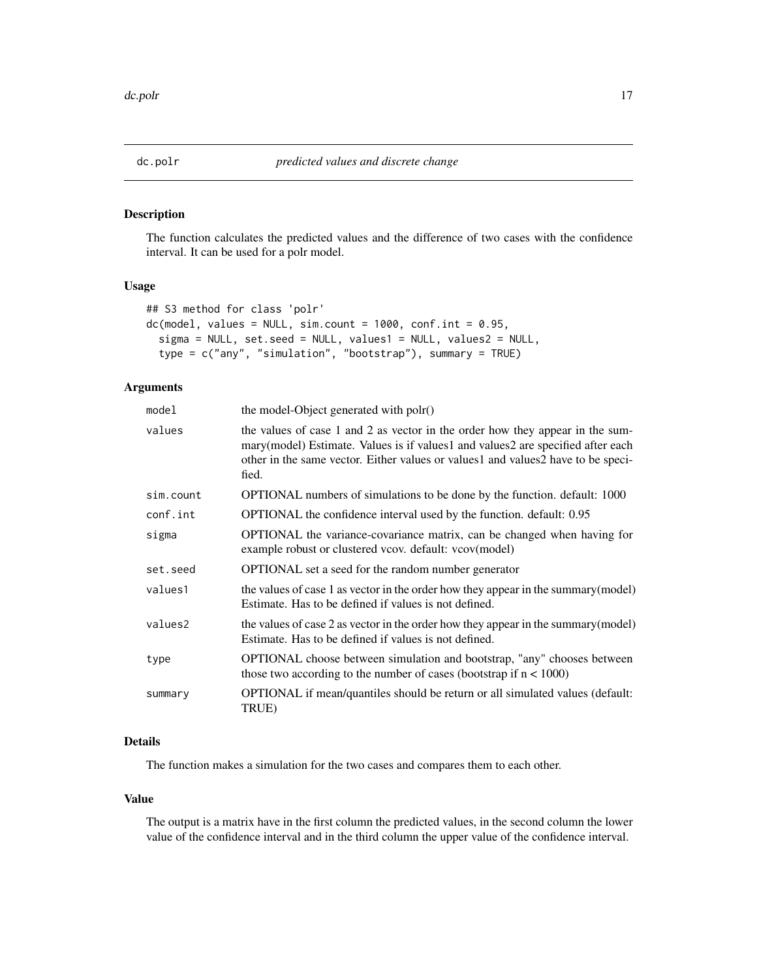<span id="page-16-0"></span>

#### Description

The function calculates the predicted values and the difference of two cases with the confidence interval. It can be used for a polr model.

#### Usage

```
## S3 method for class 'polr'
dc(model, values = NULL, sim.count = 1000, conf.int = 0.95,
  sigma = NULL, set.seed = NULL, values1 = NULL, values2 = NULL,
  type = c("any", "simulation", "bootstrap"), summary = TRUE)
```
# Arguments

| the model-Object generated with polr()                                                                                                                                                                                                                        |
|---------------------------------------------------------------------------------------------------------------------------------------------------------------------------------------------------------------------------------------------------------------|
| the values of case 1 and 2 as vector in the order how they appear in the sum-<br>mary(model) Estimate. Values is if values1 and values2 are specified after each<br>other in the same vector. Either values or values1 and values2 have to be speci-<br>fied. |
| <b>OPTIONAL</b> numbers of simulations to be done by the function. default: 1000                                                                                                                                                                              |
| OPTIONAL the confidence interval used by the function. default: 0.95                                                                                                                                                                                          |
| OPTIONAL the variance-covariance matrix, can be changed when having for<br>example robust or clustered vcov. default: vcov(model)                                                                                                                             |
| OPTIONAL set a seed for the random number generator                                                                                                                                                                                                           |
| the values of case 1 as vector in the order how they appear in the summary (model)<br>Estimate. Has to be defined if values is not defined.                                                                                                                   |
| the values of case 2 as vector in the order how they appear in the summary (model)<br>Estimate. Has to be defined if values is not defined.                                                                                                                   |
| OPTIONAL choose between simulation and bootstrap, "any" chooses between<br>those two according to the number of cases (bootstrap if $n < 1000$ )                                                                                                              |
| OPTIONAL if mean/quantiles should be return or all simulated values (default:<br>TRUE)                                                                                                                                                                        |
|                                                                                                                                                                                                                                                               |

# Details

The function makes a simulation for the two cases and compares them to each other.

#### Value

The output is a matrix have in the first column the predicted values, in the second column the lower value of the confidence interval and in the third column the upper value of the confidence interval.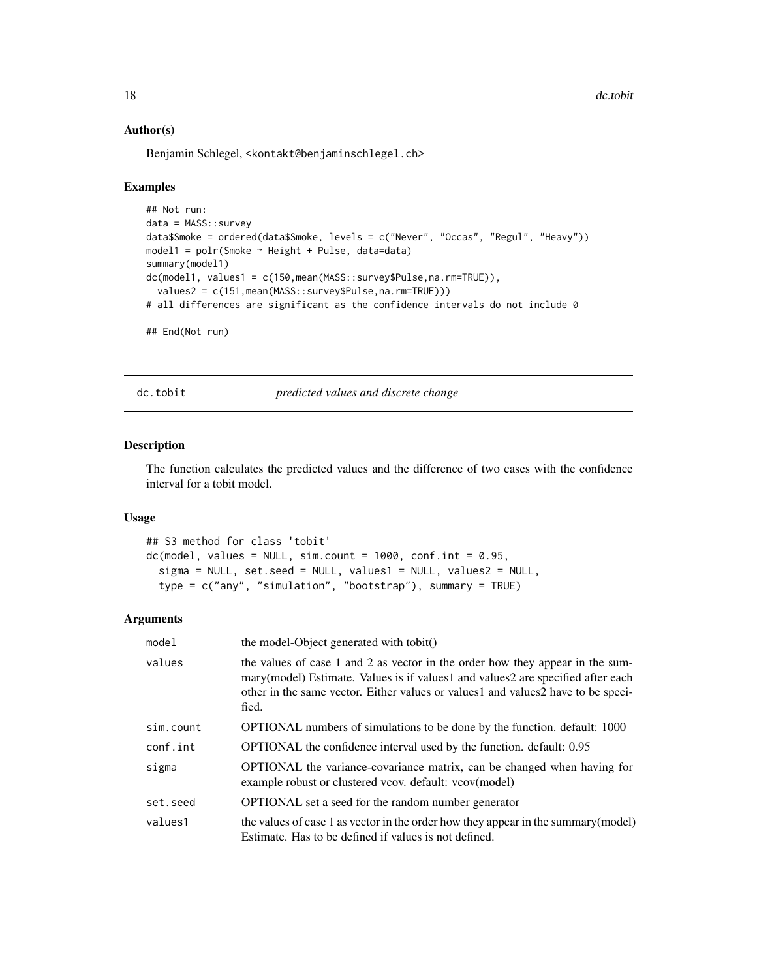#### Author(s)

Benjamin Schlegel, <kontakt@benjaminschlegel.ch>

#### Examples

```
## Not run:
data = MASS::survey
data$Smoke = ordered(data$Smoke, levels = c("Never", "Occas", "Regul", "Heavy"))
model1 = \text{poly}(Smoke \sim Height + Pulse, data=data)summary(model1)
dc(model1, values1 = c(150,mean(MASS::survey$Pulse,na.rm=TRUE)),
  values2 = c(151,mean(MASS::survey$Pulse,na.rm=TRUE)))
# all differences are significant as the confidence intervals do not include 0
## End(Not run)
```
dc.tobit *predicted values and discrete change*

#### Description

The function calculates the predicted values and the difference of two cases with the confidence interval for a tobit model.

#### Usage

```
## S3 method for class 'tobit'
dc(model, values = NULL, sim.count = 1000, conf.int = 0.95,sigma = NULL, set.seed = NULL, values1 = NULL, values2 = NULL,
  type = c("any", "simulation", "bootstrap"), summary = TRUE)
```

| model     | the model-Object generated with tobit()                                                                                                                                                                                                                          |
|-----------|------------------------------------------------------------------------------------------------------------------------------------------------------------------------------------------------------------------------------------------------------------------|
| values    | the values of case 1 and 2 as vector in the order how they appear in the sum-<br>mary (model) Estimate. Values is if values 1 and values 2 are specified after each<br>other in the same vector. Either values or values1 and values2 have to be speci-<br>fied. |
| sim.count | OPTIONAL numbers of simulations to be done by the function. default: 1000                                                                                                                                                                                        |
| conf.int  | OPTIONAL the confidence interval used by the function. default: 0.95                                                                                                                                                                                             |
| sigma     | OPTIONAL the variance-covariance matrix, can be changed when having for<br>example robust or clustered vcov. default: vcov(model)                                                                                                                                |
| set.seed  | OPTIONAL set a seed for the random number generator                                                                                                                                                                                                              |
| values1   | the values of case 1 as vector in the order how they appear in the summary (model)<br>Estimate. Has to be defined if values is not defined.                                                                                                                      |

<span id="page-17-0"></span>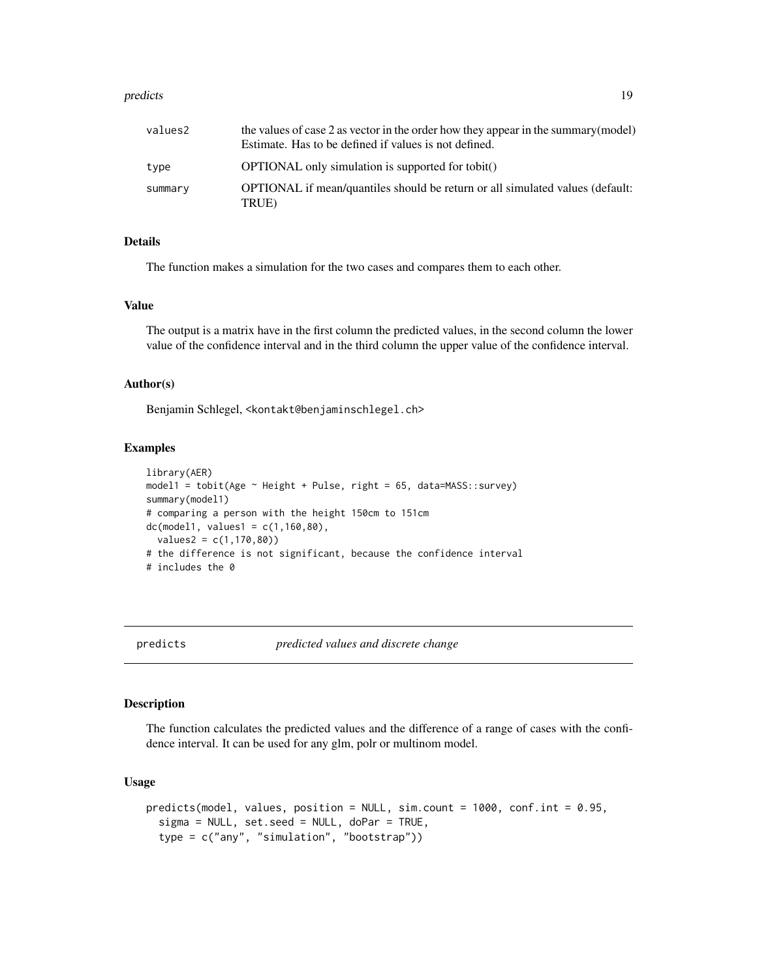#### <span id="page-18-0"></span>predicts and the predicts of the set of the set of the set of the set of the set of the set of the set of the set of the set of the set of the set of the set of the set of the set of the set of the set of the set of the se

| values2 | the values of case 2 as vector in the order how they appear in the summary (model)<br>Estimate. Has to be defined if values is not defined. |
|---------|---------------------------------------------------------------------------------------------------------------------------------------------|
| type    | <b>OPTIONAL</b> only simulation is supported for tobit()                                                                                    |
| summary | OPTIONAL if mean/quantiles should be return or all simulated values (default:<br>TRUE)                                                      |

#### Details

The function makes a simulation for the two cases and compares them to each other.

#### Value

The output is a matrix have in the first column the predicted values, in the second column the lower value of the confidence interval and in the third column the upper value of the confidence interval.

#### Author(s)

Benjamin Schlegel, <kontakt@benjaminschlegel.ch>

# Examples

```
library(AER)
model1 = \text{tobit(Age } \sim \text{Height} + \text{Pulse}, \text{right} = 65, \text{ data} = \text{MASS}:\text{survey})summary(model1)
# comparing a person with the height 150cm to 151cm
dc(model1, values1 = c(1,160,80),values2 = c(1, 170, 80)# the difference is not significant, because the confidence interval
# includes the 0
```
predicts *predicted values and discrete change*

#### Description

The function calculates the predicted values and the difference of a range of cases with the confidence interval. It can be used for any glm, polr or multinom model.

```
predicts(model, values, position = NULL, sim.count = 1000, conf.int = 0.95,
  sigma = NULL, set.seed = NULL, doPar = TRUE,
  type = c("any", "simulation", "bootstrap"))
```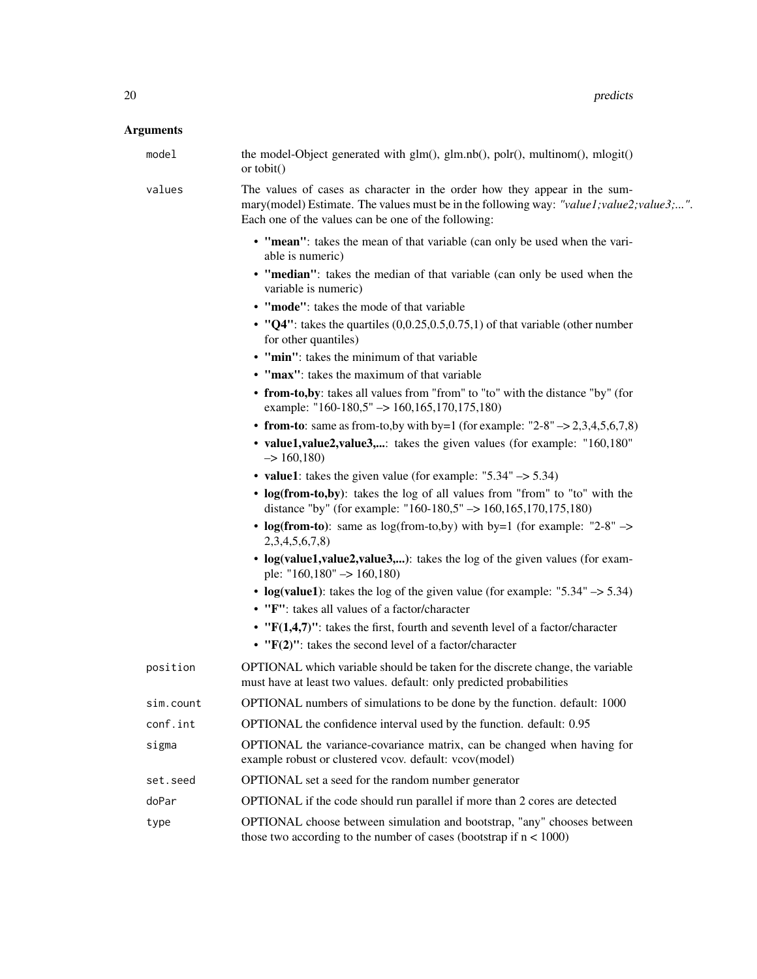| model     | the model-Object generated with glm(), glm.nb(), polr(), multinom(), mlogit()<br>or tobit()                                                                                                                                   |
|-----------|-------------------------------------------------------------------------------------------------------------------------------------------------------------------------------------------------------------------------------|
| values    | The values of cases as character in the order how they appear in the sum-<br>mary(model) Estimate. The values must be in the following way: "value1; value2; value3;".<br>Each one of the values can be one of the following: |
|           | • "mean": takes the mean of that variable (can only be used when the vari-<br>able is numeric)                                                                                                                                |
|           | • "median": takes the median of that variable (can only be used when the<br>variable is numeric)                                                                                                                              |
|           | • "mode": takes the mode of that variable                                                                                                                                                                                     |
|           | • " $Q4$ ": takes the quartiles (0,0.25,0.5,0.75,1) of that variable (other number<br>for other quantiles)                                                                                                                    |
|           | • "min": takes the minimum of that variable                                                                                                                                                                                   |
|           | • "max": takes the maximum of that variable                                                                                                                                                                                   |
|           | • from-to, by: takes all values from "from" to "to" with the distance "by" (for<br>example: "160-180,5" $\rightarrow$ 160,165,170,175,180)                                                                                    |
|           | • from-to: same as from-to, by with by=1 (for example: $"2-8"$ $\rightarrow$ 2,3,4,5,6,7,8)                                                                                                                                   |
|           | • value1, value2, value3,: takes the given values (for example: "160,180"<br>$\Rightarrow$ 160,180)                                                                                                                           |
|           | • value1: takes the given value (for example: " $5.34$ " $\rightarrow$ 5.34)                                                                                                                                                  |
|           | • log(from-to,by): takes the log of all values from "from" to "to" with the<br>distance "by" (for example: "160-180,5" $\rightarrow$ 160,165,170,175,180)                                                                     |
|           | • log(from-to): same as log(from-to,by) with by=1 (for example: "2-8" $\rightarrow$<br>2,3,4,5,6,7,8                                                                                                                          |
|           | • log(value1,value2,value3,): takes the log of the given values (for exam-<br>ple: " $160,180" \rightarrow 160,180$ )                                                                                                         |
|           | • $log(value1)$ : takes the log of the given value (for example: "5.34" $\rightarrow$ 5.34)<br>• "F": takes all values of a factor/character                                                                                  |
|           | • " $F(1,4,7)$ ": takes the first, fourth and seventh level of a factor/character                                                                                                                                             |
|           | $\cdot$ "F(2)": takes the second level of a factor/character                                                                                                                                                                  |
| position  | OPTIONAL which variable should be taken for the discrete change, the variable<br>must have at least two values. default: only predicted probabilities                                                                         |
| sim.count | OPTIONAL numbers of simulations to be done by the function. default: 1000                                                                                                                                                     |
| conf.int  | OPTIONAL the confidence interval used by the function. default: 0.95                                                                                                                                                          |
| sigma     | OPTIONAL the variance-covariance matrix, can be changed when having for<br>example robust or clustered vcov. default: vcov(model)                                                                                             |
| set.seed  | OPTIONAL set a seed for the random number generator                                                                                                                                                                           |
| doPar     | OPTIONAL if the code should run parallel if more than 2 cores are detected                                                                                                                                                    |
| type      | OPTIONAL choose between simulation and bootstrap, "any" chooses between<br>those two according to the number of cases (bootstrap if $n < 1000$ )                                                                              |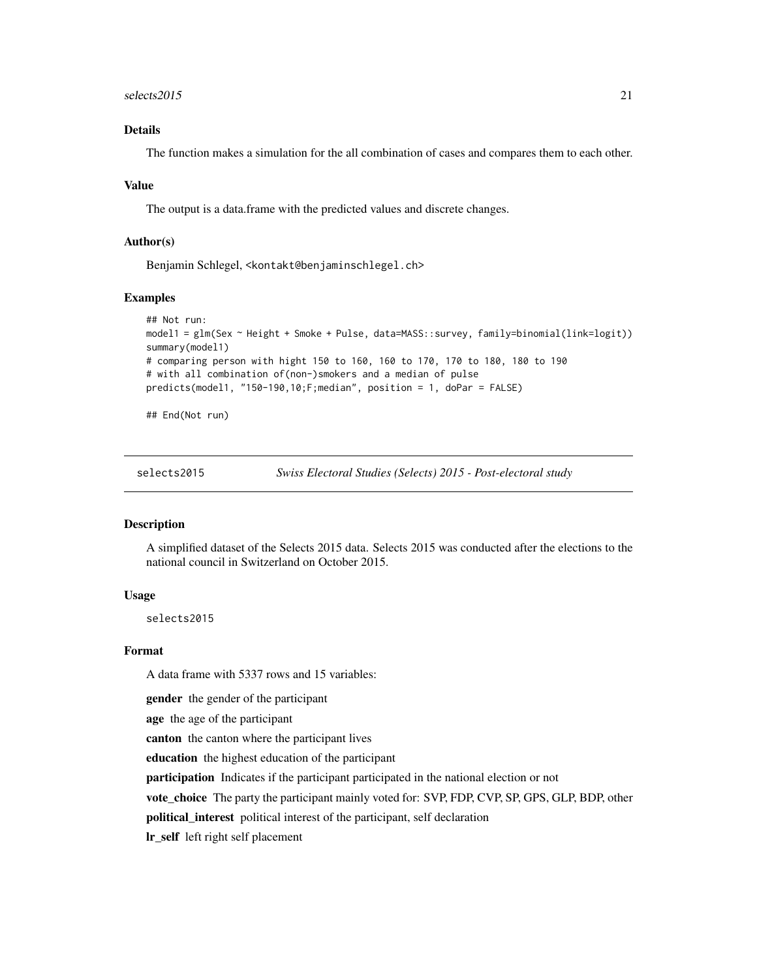#### <span id="page-20-0"></span> $s$ elects2015 21

# Details

The function makes a simulation for the all combination of cases and compares them to each other.

#### Value

The output is a data.frame with the predicted values and discrete changes.

#### Author(s)

Benjamin Schlegel, <kontakt@benjaminschlegel.ch>

#### Examples

```
## Not run:
model1 = glm(Sex ~ Height + Smoke + Pulse, data=MASS::survey, family=binomial(link=logit))
summary(model1)
# comparing person with hight 150 to 160, 160 to 170, 170 to 180, 180 to 190
# with all combination of(non-)smokers and a median of pulse
predicts(model1, "150-190,10;F;median", position = 1, doPar = FALSE)
```
## End(Not run)

selects2015 *Swiss Electoral Studies (Selects) 2015 - Post-electoral study*

#### Description

A simplified dataset of the Selects 2015 data. Selects 2015 was conducted after the elections to the national council in Switzerland on October 2015.

#### Usage

selects2015

# Format

A data frame with 5337 rows and 15 variables:

gender the gender of the participant

age the age of the participant

canton the canton where the participant lives

education the highest education of the participant

participation Indicates if the participant participated in the national election or not

vote\_choice The party the participant mainly voted for: SVP, FDP, CVP, SP, GPS, GLP, BDP, other

political\_interest political interest of the participant, self declaration

lr\_self left right self placement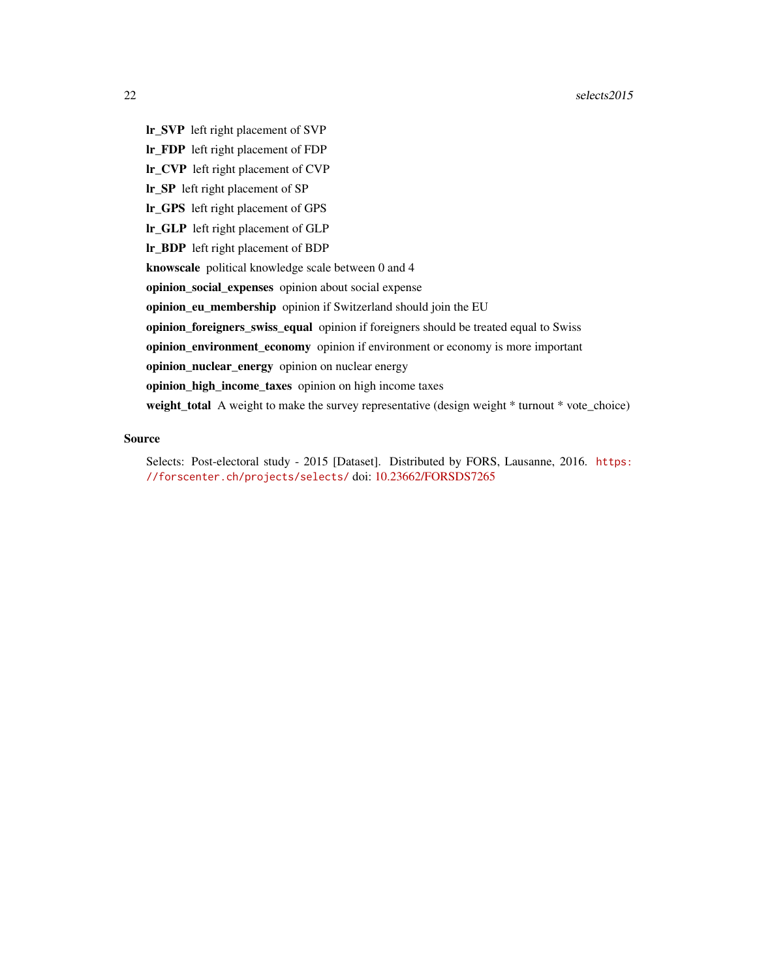- lr\_SVP left right placement of SVP
- lr\_FDP left right placement of FDP
- lr\_CVP left right placement of CVP
- lr\_SP left right placement of SP
- lr\_GPS left right placement of GPS
- lr\_GLP left right placement of GLP
- lr\_BDP left right placement of BDP
- knowscale political knowledge scale between 0 and 4
- opinion\_social\_expenses opinion about social expense
- opinion\_eu\_membership opinion if Switzerland should join the EU
- opinion\_foreigners\_swiss\_equal opinion if foreigners should be treated equal to Swiss
- opinion\_environment\_economy opinion if environment or economy is more important
- opinion\_nuclear\_energy opinion on nuclear energy
- opinion\_high\_income\_taxes opinion on high income taxes
- weight\_total A weight to make the survey representative (design weight \* turnout \* vote\_choice)

#### Source

Selects: Post-electoral study - 2015 [Dataset]. Distributed by FORS, Lausanne, 2016. [https:](https://forscenter.ch/projects/selects/) [//forscenter.ch/projects/selects/](https://forscenter.ch/projects/selects/) doi: [10.23662/FORSDS7265](https://doi.org/10.23662/FORS-DS-726-5)